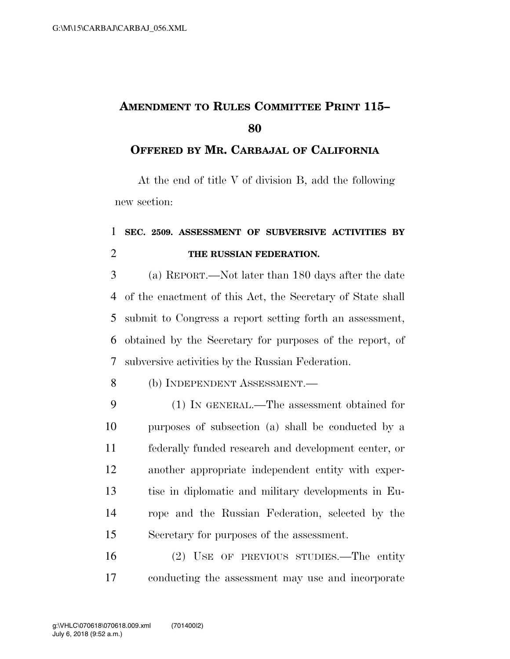## **AMENDMENT TO RULES COMMITTEE PRINT 115–**

## **OFFERED BY MR. CARBAJAL OF CALIFORNIA**

At the end of title V of division B, add the following new section:

## **SEC. 2509. ASSESSMENT OF SUBVERSIVE ACTIVITIES BY THE RUSSIAN FEDERATION.**

 (a) REPORT.—Not later than 180 days after the date of the enactment of this Act, the Secretary of State shall submit to Congress a report setting forth an assessment, obtained by the Secretary for purposes of the report, of subversive activities by the Russian Federation.

- (b) INDEPENDENT ASSESSMENT.—
- (1) IN GENERAL.—The assessment obtained for purposes of subsection (a) shall be conducted by a federally funded research and development center, or another appropriate independent entity with exper- tise in diplomatic and military developments in Eu- rope and the Russian Federation, selected by the Secretary for purposes of the assessment.
- (2) USE OF PREVIOUS STUDIES.—The entity conducting the assessment may use and incorporate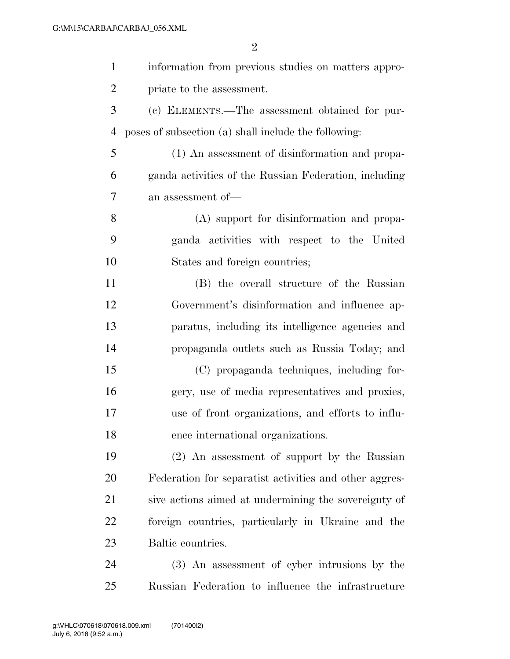| $\mathbf{1}$   | information from previous studies on matters appro-    |
|----------------|--------------------------------------------------------|
| $\overline{2}$ | priate to the assessment.                              |
| 3              | (c) ELEMENTS.—The assessment obtained for pur-         |
| 4              | poses of subsection (a) shall include the following:   |
| 5              | (1) An assessment of disinformation and propa-         |
| 6              | ganda activities of the Russian Federation, including  |
| 7              | an assessment of-                                      |
| 8              | (A) support for disinformation and propa-              |
| 9              | ganda activities with respect to the United            |
| 10             | States and foreign countries;                          |
| 11             | (B) the overall structure of the Russian               |
| 12             | Government's disinformation and influence ap-          |
| 13             | paratus, including its intelligence agencies and       |
| 14             | propaganda outlets such as Russia Today; and           |
| 15             | (C) propaganda techniques, including for-              |
| 16             | gery, use of media representatives and proxies,        |
| 17             | use of front organizations, and efforts to influ-      |
| 18             | ence international organizations.                      |
| 19             | (2) An assessment of support by the Russian            |
| 20             | Federation for separatist activities and other aggres- |
| 21             | sive actions aimed at undermining the sovereignty of   |
| 22             | foreign countries, particularly in Ukraine and the     |
| 23             | Baltic countries.                                      |
| 24             | (3) An assessment of cyber intrusions by the           |
| 25             | Russian Federation to influence the infrastructure     |